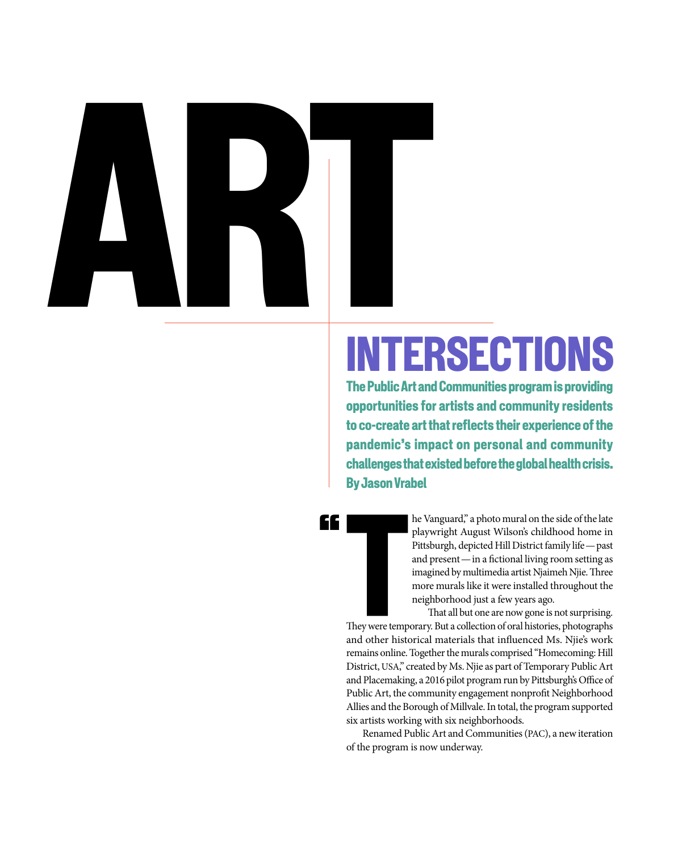# ART

££

# INTERSECTIONS

The Public Art and Communities program is providing opportunities for artists and community residents to co-create art that reflects their experience of the pandemic's impact on personal and community challenges that existed before the global health crisis. By Jason Vrabel

> he Vanguard," a photo mural on the side of the late playwright August Wilson's childhood home in Pittsburgh, depicted Hill District family life — past and present — in a fictional living room setting as imagined by multimedia artist Njaimeh Njie. Three more murals like it were installed throughout the neighborhood just a few years ago.

That all but one are now gone is not surprising. They were temporary. But a collection of oral histories, photographs and other historical materials that influenced Ms. Njie's work remains online. Together the murals comprised "Homecoming: Hill District, USA," created by Ms. Njie as part of Temporary Public Art and Placemaking, a 2016 pilot program run by Pittsburgh's Office of Public Art, the community engagement nonprofit Neighborhood Allies and the Borough of Millvale. In total, the program supported six artists working with six neighborhoods.

Renamed Public Art and Communities (PAC), a new iteration of the program is now underway.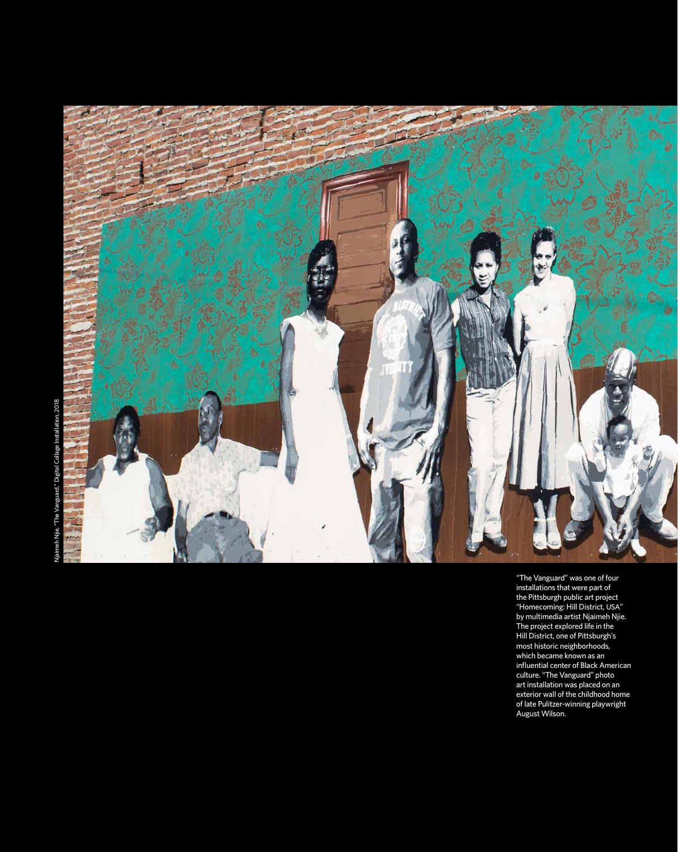

"The Vanguard" was one of four installations that were part of the Pittsburgh public art project "Homecoming: Hill District, USA" by multimedia artist Njaimeh Njie. The project explored life in the Hill District, one of Pittsburgh's most historic neighborhoods, which became known as an influential center of Black American culture. "The Vanguard" photo art installation was placed on an exterior wall of the childhood home of late Pulitzer-winning playwright August Wilson.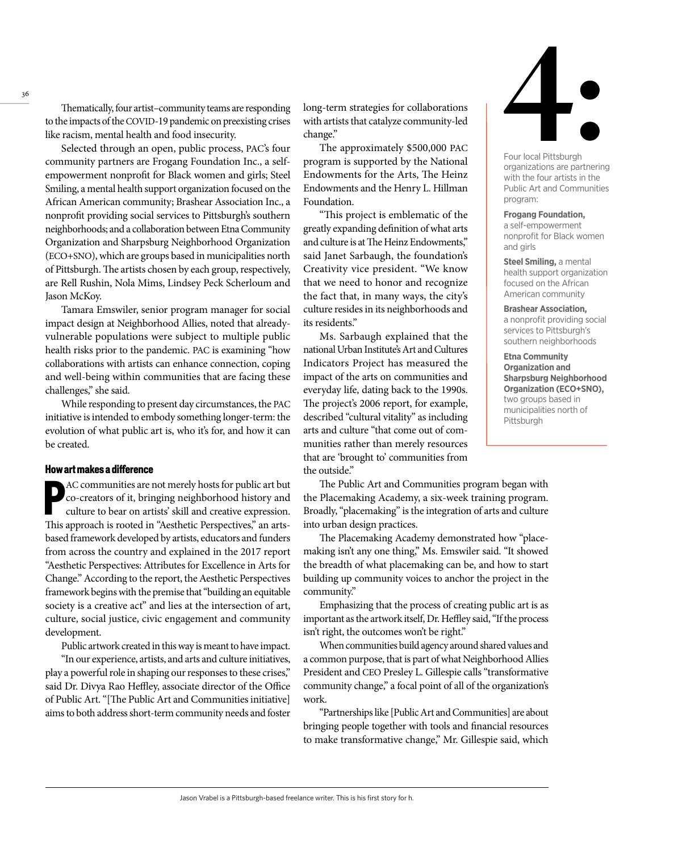Thematically, four artist–community teams are responding to the impacts of the COVID-19 pandemic on preexisting crises like racism, mental health and food insecurity.

Selected through an open, public process, PAC's four community partners are Frogang Foundation Inc., a selfempowerment nonprofit for Black women and girls; Steel Smiling, a mental health support organization focused on the African American community; Brashear Association Inc., a nonprofit providing social services to Pittsburgh's southern neighborhoods; and a collaboration between Etna Community Organization and Sharpsburg Neighborhood Organization (ECO+SNO), which are groups based in municipalities north of Pittsburgh. The artists chosen by each group, respectively, are Rell Rushin, Nola Mims, Lindsey Peck Scherloum and Jason McKoy.

Tamara Emswiler, senior program manager for social impact design at Neighborhood Allies, noted that alreadyvulnerable populations were subject to multiple public health risks prior to the pandemic. PAC is examining "how collaborations with artists can enhance connection, coping and well-being within communities that are facing these challenges," she said.

While responding to present day circumstances, the PAC initiative is intended to embody something longer-term: the evolution of what public art is, who it's for, and how it can be created.

### How art makes a difference

AC communities are not merely hosts for public art but<br>co-creators of it, bringing neighborhood history and<br>culture to bear on artists' skill and creative expression.<br>This approach is rooted in "Aesthetic Perspectives," an AC communities are not merely hosts for public art but co-creators of it, bringing neighborhood history and culture to bear on artists' skill and creative expression. based framework developed by artists, educators and funders from across the country and explained in the 2017 report "Aesthetic Perspectives: Attributes for Excellence in Arts for Change." According to the report, the Aesthetic Perspectives framework begins with the premise that "building an equitable society is a creative act" and lies at the intersection of art, culture, social justice, civic engagement and community development.

Public artwork created in this way is meant to have impact.

"In our experience, artists, and arts and culture initiatives, play a powerful role in shaping our responses to these crises," said Dr. Divya Rao Heffley, associate director of the Office of Public Art. "[The Public Art and Communities initiative] aims to both address short-term community needs and foster

long-term strategies for collaborations with artists that catalyze community-led change."

The approximately \$500,000 PAC program is supported by the National Endowments for the Arts, The Heinz Endowments and the Henry L. Hillman Foundation.

"This project is emblematic of the greatly expanding definition of what arts and culture is at The Heinz Endowments," said Janet Sarbaugh, the foundation's Creativity vice president. "We know that we need to honor and recognize the fact that, in many ways, the city's culture resides in its neighborhoods and its residents."

Ms. Sarbaugh explained that the national Urban Institute's Art and Cultures Indicators Project has measured the impact of the arts on communities and everyday life, dating back to the 1990s. The project's 2006 report, for example, described "cultural vitality" as including arts and culture "that come out of communities rather than merely resources that are 'brought to' communities from the outside."

The Public Art and Communities program began with the Placemaking Academy, a six-week training program. Broadly, "placemaking" is the integration of arts and culture into urban design practices.

The Placemaking Academy demonstrated how "placemaking isn't any one thing," Ms. Emswiler said. "It showed the breadth of what placemaking can be, and how to start building up community voices to anchor the project in the community."

Emphasizing that the process of creating public art is as important as the artwork itself, Dr. Heffley said, "If the process isn't right, the outcomes won't be right."

When communities build agency around shared values and a common purpose, that is part of what Neighborhood Allies President and CEO Presley L. Gillespie calls "transformative community change," a focal point of all of the organization's work.

"Partnerships like [Public Art and Communities] are about bringing people together with tools and financial resources to make transformative change," Mr. Gillespie said, which



Four local Pittsburgh organizations are partnering with the four artists in the Public Art and Communities program:

**Frogang Foundation,**

a self-empowerment nonprofit for Black women and girls

**Steel Smiling,** a mental health support organization focused on the African American community

**Brashear Association,** a nonprofit providing social services to Pittsburgh's southern neighborhoods

**Etna Community Organization and Sharpsburg Neighborhood Organization (ECO+SNO),**  two groups based in municipalities north of Pittsburgh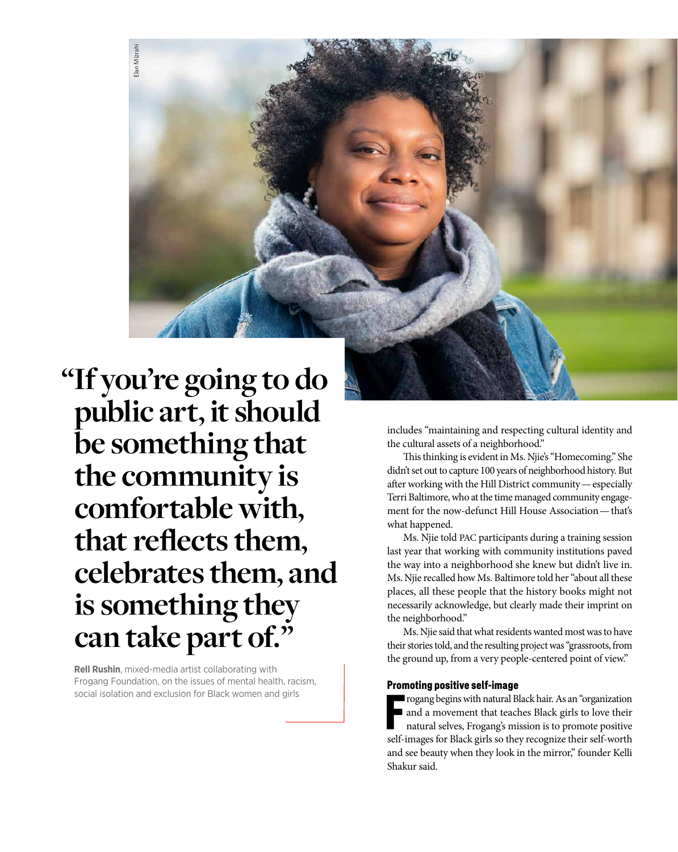**"If you're going to do public art, it should be something that the community is comfortable with, that reflects them, celebrates them, and is something they can take part of."**

Elan Mizrahi

Elan Mizrah

**Rell Rushin**, mixed-media artist collaborating with Frogang Foundation, on the issues of mental health, racism, social isolation and exclusion for Black women and girls

includes "maintaining and respecting cultural identity and the cultural assets of a neighborhood."

This thinking is evident in Ms. Njie's "Homecoming." She didn't set out to capture 100 years of neighborhood history. But after working with the Hill District community — especially Terri Baltimore, who at the time managed community engagement for the now-defunct Hill House Association — that's what happened.

Ms. Njie told PAC participants during a training session last year that working with community institutions paved the way into a neighborhood she knew but didn't live in. Ms. Njie recalled how Ms. Baltimore told her "about all these places, all these people that the history books might not necessarily acknowledge, but clearly made their imprint on the neighborhood."

Ms. Njie said that what residents wanted most was to have their stories told, and the resulting project was "grassroots, from the ground up, from a very people-centered point of view."

### Promoting positive self-image

Frogang begins with natural Black hair. As an "organization"<br>and a movement that teaches Black girls to love their<br>natural selves, Frogang's mission is to promote positive<br>self-images for Black girls so they recognize thei and a movement that teaches Black girls to love their natural selves, Frogang's mission is to promote positive self-images for Black girls so they recognize their self-worth and see beauty when they look in the mirror," founder Kelli Shakur said.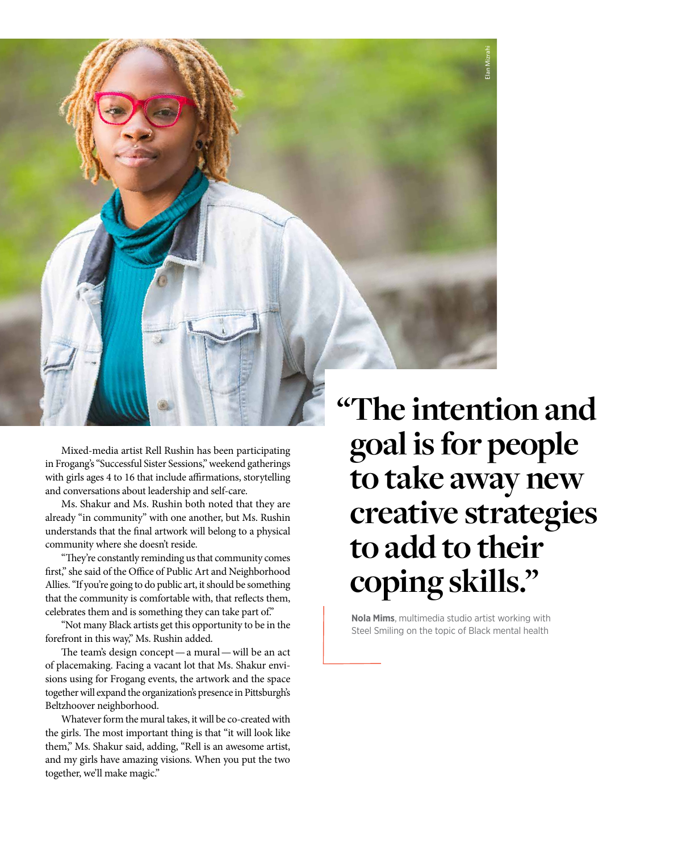

Mixed-media artist Rell Rushin has been participating in Frogang's "Successful Sister Sessions," weekend gatherings with girls ages 4 to 16 that include affirmations, storytelling and conversations about leadership and self-care.

Ms. Shakur and Ms. Rushin both noted that they are already "in community" with one another, but Ms. Rushin understands that the final artwork will belong to a physical community where she doesn't reside.

"They're constantly reminding us that community comes first," she said of the Office of Public Art and Neighborhood Allies. "If you're going to do public art, it should be something that the community is comfortable with, that reflects them, celebrates them and is something they can take part of."

"Not many Black artists get this opportunity to be in the forefront in this way," Ms. Rushin added.

The team's design concept — a mural — will be an act of placemaking. Facing a vacant lot that Ms. Shakur envisions using for Frogang events, the artwork and the space together will expand the organization's presence in Pittsburgh's Beltzhoover neighborhood.

Whatever form the mural takes, it will be co-created with the girls. The most important thing is that "it will look like them," Ms. Shakur said, adding, "Rell is an awesome artist, and my girls have amazing visions. When you put the two together, we'll make magic."

**"The intention and goal is for people to take away new creative strategies to add to their** 

**Nola Mims**, multimedia studio artist working with Steel Smiling on the topic of Black mental health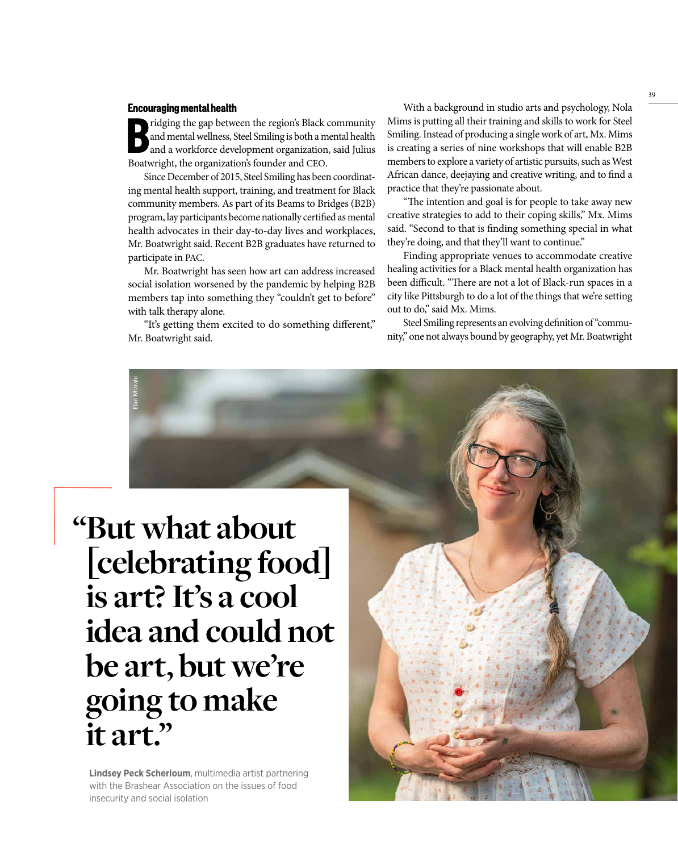### Encouraging mental health

Elan Mizrahi

ridging the gap between the region's Black community<br>
and mental wellness, Steel Smiling is both a mental health<br>
and a workforce development organization, said Julius<br>
Boatwright the organization's founder and CEO and mental wellness, Steel Smiling is both a mental health and a workforce development organization, said Julius Boatwright, the organization's founder and CEO.

Since December of 2015, Steel Smiling has been coordinating mental health support, training, and treatment for Black community members. As part of its Beams to Bridges (B2B) program, lay participants become nationally certified as mental health advocates in their day-to-day lives and workplaces, Mr. Boatwright said. Recent B2B graduates have returned to participate in PAC.

Mr. Boatwright has seen how art can address increased social isolation worsened by the pandemic by helping B2B members tap into something they "couldn't get to before" with talk therapy alone.

"It's getting them excited to do something different," Mr. Boatwright said.

With a background in studio arts and psychology, Nola Mims is putting all their training and skills to work for Steel Smiling. Instead of producing a single work of art, Mx. Mims is creating a series of nine workshops that will enable B2B members to explore a variety of artistic pursuits, such as West African dance, deejaying and creative writing, and to find a practice that they're passionate about.

"The intention and goal is for people to take away new creative strategies to add to their coping skills," Mx. Mims said. "Second to that is finding something special in what they're doing, and that they'll want to continue."

Finding appropriate venues to accommodate creative healing activities for a Black mental health organization has been difficult. "There are not a lot of Black-run spaces in a city like Pittsburgh to do a lot of the things that we're setting out to do," said Mx. Mims.

Steel Smiling represents an evolving definition of "community," one not always bound by geography, yet Mr. Boatwright

**"But what about**  [**celebrating food**] **is art? It's a cool idea and could not be art, but we're going to make it art."**

**Lindsey Peck Scherloum**, multimedia artist partnering with the Brashear Association on the issues of food insecurity and social isolation

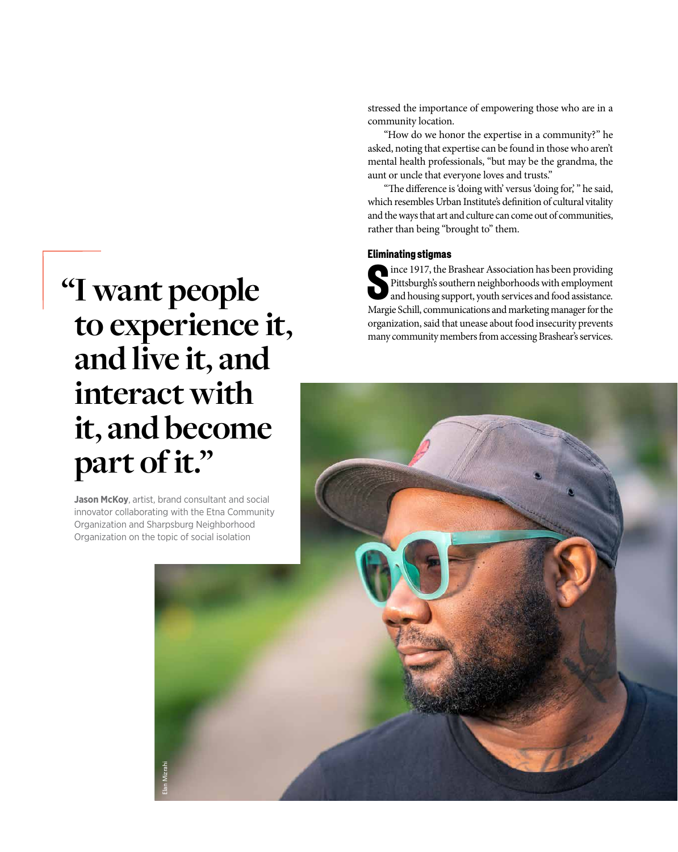stressed the importance of empowering those who are in a community location.

"How do we honor the expertise in a community?" he asked, noting that expertise can be found in those who aren't mental health professionals, "but may be the grandma, the aunt or uncle that everyone loves and trusts."

"The difference is 'doing with' versus 'doing for,' " he said, which resembles Urban Institute's definition of cultural vitality and the ways that art and culture can come out of communities, rather than being "brought to" them.

### Eliminating stigmas

Since 1917, the Brashear Association has been providing<br>Pittsburgh's southern neighborhoods with employment<br>and housing support, youth services and food assistance.<br>Margie Schill communications and marketing manager for th Pittsburgh's southern neighborhoods with employment and housing support, youth services and food assistance. Margie Schill, communications and marketing manager for the organization, said that unease about food insecurity prevents many community members from accessing Brashear's services.

## **"I want people to experience it, and live it, and interact with it, and become part of it."**

**Jason McKoy**, artist, brand consultant and social innovator collaborating with the Etna Community Organization and Sharpsburg Neighborhood Organization on the topic of social isolation

Elan Mizrahi